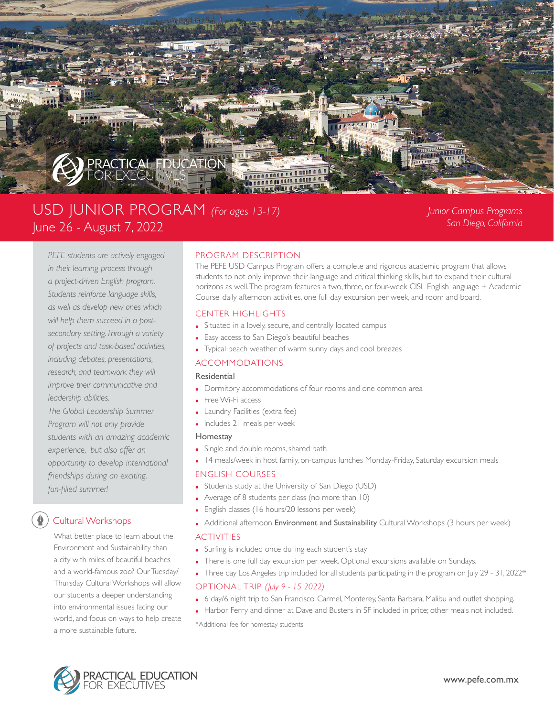

# USD JUNIOR PROGRAM *(For ages 13-17)* June 26 - August 7, 2022

*Junior Campus Programs San Diego, California*

*PEFE students are actively engaged in their learning process through a project-driven English program. Students reinforce language skills, as well as develop new ones which will help them succeed in a postsecondary setting.Through a variety of projects and task-based activities, including debates, presentations, research, and teamwork they will improve their communicative and leadership abilities.*

*The Global Leadership Summer Program will not only provide students with an amazing academic experience, but also offer an opportunity to develop international friendships during an exciting, fun-filled summer!* 

# Cultural Workshops

What better place to learn about the Environment and Sustainability than a city with miles of beautiful beaches and a world-famous zoo? Our Tuesday/ Thursday Cultural Workshops will allow our students a deeper understanding into environmental issues facing our world, and focus on ways to help create a more sustainable future.

# PROGRAM DESCRIPTION

The PEFE USD Campus Program offers a complete and rigorous academic program that allows students to not only improve their language and critical thinking skills, but to expand their cultural horizons as well. The program features a two, three, or four-week CISL English language + Academic Course, daily afternoon activities, one full day excursion per week, and room and board.

# CENTER HIGHLIGHTS

- Situated in a lovely, secure, and centrally located campus
- Easy access to San Diego's beautiful beaches
- Typical beach weather of warm sunny days and cool breezes

# ACCOMMODATIONS

#### Residential

- Dormitory accommodations of four rooms and one common area
- Free Wi-Fi access
- Laundry Facilities (extra fee)
- Includes 21 meals per week

#### Homestay

- Single and double rooms, shared bath
- 14 meals/week in host family, on-campus lunches Monday-Friday, Saturday excursion meals

#### ENGLISH COURSES

- Students study at the University of San Diego (USD)
- Average of 8 students per class (no more than 10)
- English classes (16 hours/20 lessons per week)
- Additional afternoon Environment and Sustainability Cultural Workshops (3 hours per week)

#### ACTIVITIES

- Surfing is included once du ing each student's stay
- There is one full day excursion per week. Optional excursions available on Sundays.
- Three day Los Angeles trip included for all students participating in the program on July 29 31, 2022\*

# OPTIONAL TRIP *(July 9 - 15 2022)*

- 6 day/6 night trip to San Francisco, Carmel, Monterey, Santa Barbara, Malibu and outlet shopping.
- Harbor Ferry and dinner at Dave and Busters in SF included in price; other meals not included.

\*Additional fee for homestay students